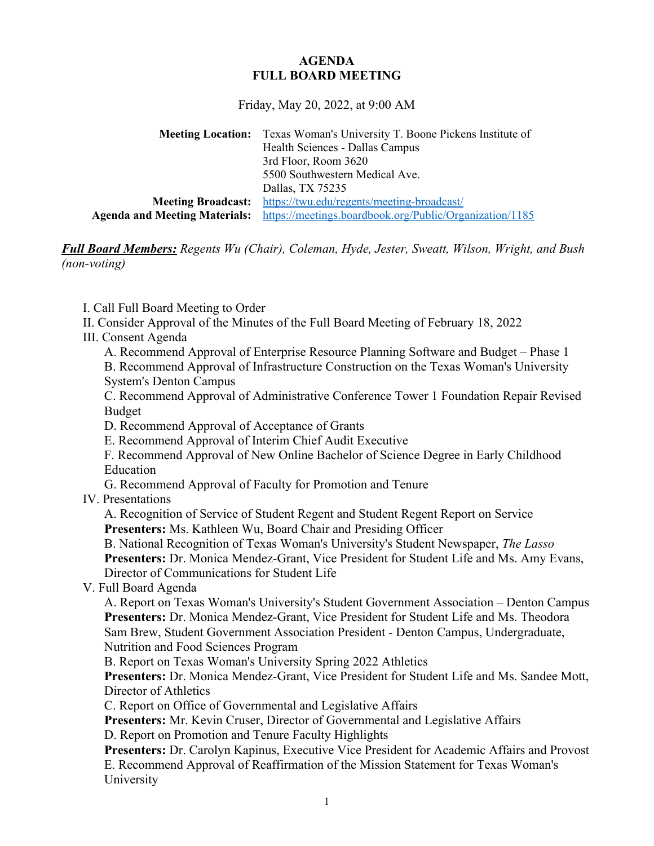## **AGENDA FULL BOARD MEETING**

Friday, May 20, 2022, at 9:00 AM

**Meeting Location:** Texas Woman's University T. Boone Pickens Institute of Health Sciences - Dallas Campus 3rd Floor, Room 3620 5500 Southwestern Medical Ave. Dallas, TX 75235 **Meeting Broadcast:** <https://twu.edu/regents/meeting-broadcast/> **Agenda and Meeting Materials:** <https://meetings.boardbook.org/Public/Organization/1185>

*Full Board Members: Regents Wu (Chair), Coleman, Hyde, Jester, Sweatt, Wilson, Wright, and Bush (non-voting)*

I. Call Full Board Meeting to Order

- II. Consider Approval of the Minutes of the Full Board Meeting of February 18, 2022
- III. Consent Agenda
	- A. Recommend Approval of Enterprise Resource Planning Software and Budget Phase 1
	- B. Recommend Approval of Infrastructure Construction on the Texas Woman's University System's Denton Campus

C. Recommend Approval of Administrative Conference Tower 1 Foundation Repair Revised Budget

- D. Recommend Approval of Acceptance of Grants
- E. Recommend Approval of Interim Chief Audit Executive

F. Recommend Approval of New Online Bachelor of Science Degree in Early Childhood Education

G. Recommend Approval of Faculty for Promotion and Tenure

IV. Presentations

A. Recognition of Service of Student Regent and Student Regent Report on Service **Presenters:** Ms. Kathleen Wu, Board Chair and Presiding Officer

B. National Recognition of Texas Woman's University's Student Newspaper, *The Lasso* **Presenters:** Dr. Monica Mendez-Grant, Vice President for Student Life and Ms. Amy Evans, Director of Communications for Student Life

V. Full Board Agenda

A. Report on Texas Woman's University's Student Government Association – Denton Campus **Presenters:** Dr. Monica Mendez-Grant, Vice President for Student Life and Ms. Theodora Sam Brew, Student Government Association President - Denton Campus, Undergraduate, Nutrition and Food Sciences Program

B. Report on Texas Woman's University Spring 2022 Athletics

**Presenters:** Dr. Monica Mendez-Grant, Vice President for Student Life and Ms. Sandee Mott, Director of Athletics

C. Report on Office of Governmental and Legislative Affairs

**Presenters:** Mr. Kevin Cruser, Director of Governmental and Legislative Affairs

D. Report on Promotion and Tenure Faculty Highlights

**Presenters:** Dr. Carolyn Kapinus, Executive Vice President for Academic Affairs and Provost E. Recommend Approval of Reaffirmation of the Mission Statement for Texas Woman's University